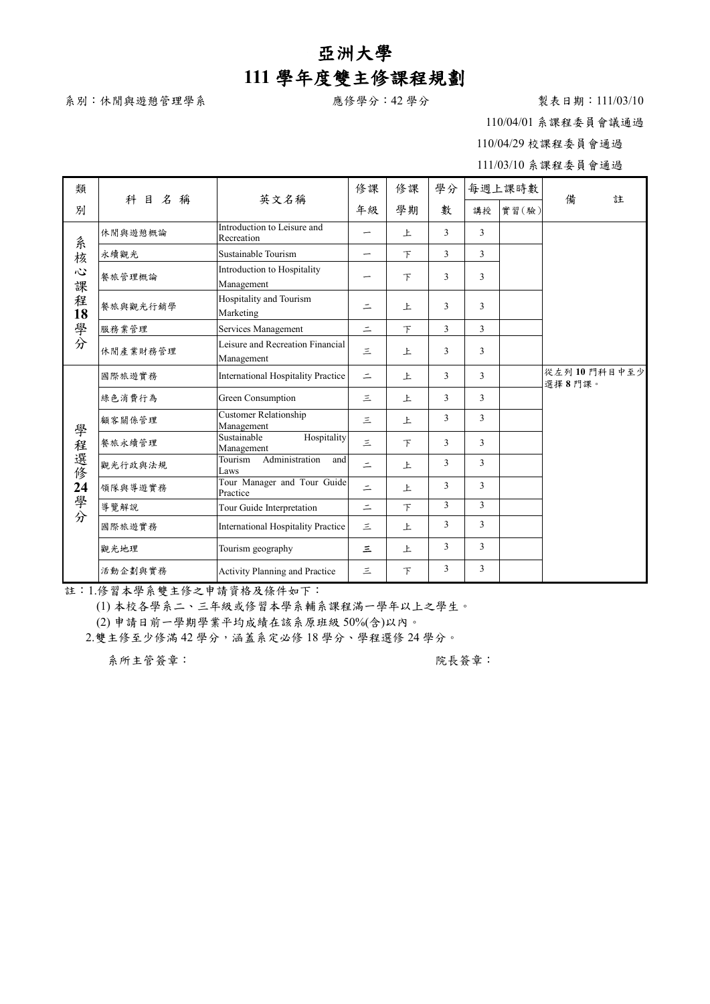## 亞洲大學 **111** 學年度雙主修課程規劃

系別:休閒與遊憩管理學系 おおろん 意修學分:42 學分 キュニュニュニュ 製表日期:111/03/10

110/04/01 系課程委員會議通過

110/04/29 校課程委員會通過

111/03/10 系課程委員會通過

| 類                                   | 科目名<br>稱 | 英文名稱                                           | 修課       | 修課     | 學分 |              | 每週上課時數 | 備<br>註                |  |
|-------------------------------------|----------|------------------------------------------------|----------|--------|----|--------------|--------|-----------------------|--|
| 別                                   |          |                                                | 年級       | 學期     | 數  | 講授           | 實習(驗)  |                       |  |
| 系核<br>$\ddot{\omega}$<br>課<br>程18學分 | 休閒與遊憩概論  | Introduction to Leisure and<br>Recreation      | –        | 上      | 3  | 3            |        |                       |  |
|                                     | 永續觀光     | Sustainable Tourism                            |          | $\top$ | 3  | 3            |        |                       |  |
|                                     | 餐旅管理概論   | Introduction to Hospitality<br>Management      |          | F      | 3  | $\mathbf{3}$ |        |                       |  |
|                                     | 餐旅與觀光行銷學 | Hospitality and Tourism<br>Marketing           | $\equiv$ | 上      | 3  | 3            |        |                       |  |
|                                     | 服務業管理    | Services Management                            | $\equiv$ | F      | 3  | 3            |        |                       |  |
|                                     | 休閒產業財務管理 | Leisure and Recreation Financial<br>Management | 三        | 上      | 3  | 3            |        |                       |  |
| 學程選修24學分                            | 國際旅遊實務   | <b>International Hospitality Practice</b>      | $\equiv$ | 上      | 3  | 3            |        | 從左列10門科目中至少<br>選擇8門課。 |  |
|                                     | 綠色消費行為   | Green Consumption                              | $\leq$   | 上      | 3  | 3            |        |                       |  |
|                                     | 顧客關係管理   | <b>Customer Relationship</b><br>Management     | 三        | 上      | 3  | $\mathbf{3}$ |        |                       |  |
|                                     | 餐旅永續管理   | Sustainable<br>Hospitality<br>Management       | $\leq$   | $\top$ | 3  | 3            |        |                       |  |
|                                     | 觀光行政與法規  | Administration<br>Tourism<br>and<br>Laws       | $\equiv$ | 上      | 3  | 3            |        |                       |  |
|                                     | 領隊與導遊實務  | Tour Manager and Tour Guide<br>Practice        | $\equiv$ | 上      | 3  | $\mathbf{3}$ |        |                       |  |
|                                     | 導覽解說     | Tour Guide Interpretation                      | $\equiv$ | $\top$ | 3  | $\mathbf{3}$ |        |                       |  |
|                                     | 國際旅遊實務   | <b>International Hospitality Practice</b>      | $\leq$   | 上      | 3  | $\mathbf{3}$ |        |                       |  |
|                                     | 觀光地理     | Tourism geography                              | 三        | 上      | 3  | 3            |        |                       |  |
|                                     | 活動企劃與實務  | Activity Planning and Practice                 | Ξ        | 下      | 3  | 3            |        |                       |  |

註:1.修習本學系雙主修之申請資格及條件如下:

(1) 本校各學系二、三年級或修習本學系輔系課程滿一學年以上之學生。

(2) 申請日前一學期學業平均成績在該系原班級 50%(含)以內。

2.雙主修至少修滿 42 學分,涵蓋系定必修 18 學分、學程選修 24 學分。

系所主管簽章: 第二十一章 第一十一章 第一十一章 第一次長簽章: